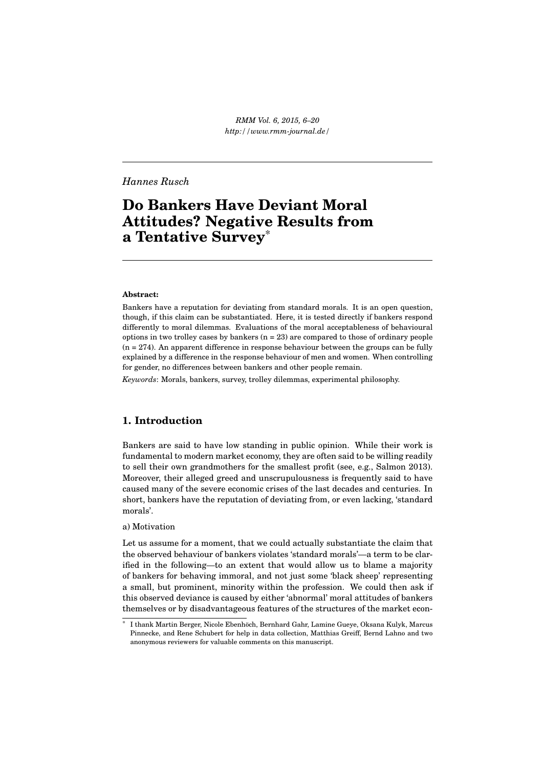*RMM Vol. 6, 2015, 6–20 http://www.rmm-journal.de/*

# *Hannes Rusch*

# **Do Bankers Have Deviant Moral Attitudes? Negative Results from a Tentative Survey**\*

#### **Abstract:**

Bankers have a reputation for deviating from standard morals. It is an open question, though, if this claim can be substantiated. Here, it is tested directly if bankers respond differently to moral dilemmas. Evaluations of the moral acceptableness of behavioural options in two trolley cases by bankers  $(n = 23)$  are compared to those of ordinary people  $(n = 274)$ . An apparent difference in response behaviour between the groups can be fully explained by a difference in the response behaviour of men and women. When controlling for gender, no differences between bankers and other people remain.

*Keywords*: Morals, bankers, survey, trolley dilemmas, experimental philosophy.

## **1. Introduction**

Bankers are said to have low standing in public opinion. While their work is fundamental to modern market economy, they are often said to be willing readily to sell their own grandmothers for the smallest profit (see, e.g., Salmon 2013). Moreover, their alleged greed and unscrupulousness is frequently said to have caused many of the severe economic crises of the last decades and centuries. In short, bankers have the reputation of deviating from, or even lacking, 'standard morals'.

#### a) Motivation

Let us assume for a moment, that we could actually substantiate the claim that the observed behaviour of bankers violates 'standard morals'—a term to be clarified in the following—to an extent that would allow us to blame a majority of bankers for behaving immoral, and not just some 'black sheep' representing a small, but prominent, minority within the profession. We could then ask if this observed deviance is caused by either 'abnormal' moral attitudes of bankers themselves or by disadvantageous features of the structures of the market econ-

<sup>\*</sup> I thank Martin Berger, Nicole Ebenhöch, Bernhard Gahr, Lamine Gueye, Oksana Kulyk, Marcus Pinnecke, and Rene Schubert for help in data collection, Matthias Greiff, Bernd Lahno and two anonymous reviewers for valuable comments on this manuscript.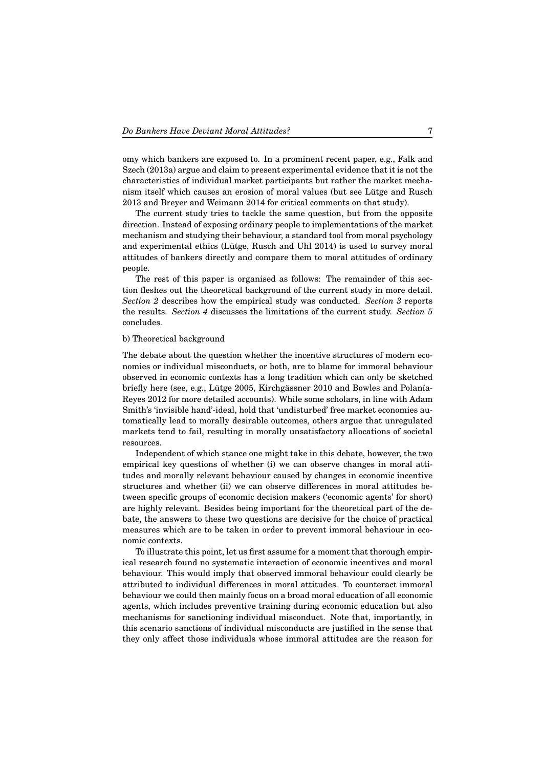omy which bankers are exposed to. In a prominent recent paper, e.g., Falk and Szech (2013a) argue and claim to present experimental evidence that it is not the characteristics of individual market participants but rather the market mechanism itself which causes an erosion of moral values (but see Lütge and Rusch 2013 and Breyer and Weimann 2014 for critical comments on that study).

The current study tries to tackle the same question, but from the opposite direction. Instead of exposing ordinary people to implementations of the market mechanism and studying their behaviour, a standard tool from moral psychology and experimental ethics (Lütge, Rusch and Uhl 2014) is used to survey moral attitudes of bankers directly and compare them to moral attitudes of ordinary people.

The rest of this paper is organised as follows: The remainder of this section fleshes out the theoretical background of the current study in more detail. *Section 2* describes how the empirical study was conducted. *Section 3* reports the results. *Section 4* discusses the limitations of the current study. *Section 5* concludes.

#### b) Theoretical background

The debate about the question whether the incentive structures of modern economies or individual misconducts, or both, are to blame for immoral behaviour observed in economic contexts has a long tradition which can only be sketched briefly here (see, e.g., Lütge 2005, Kirchgässner 2010 and Bowles and Polanía-Reyes 2012 for more detailed accounts). While some scholars, in line with Adam Smith's 'invisible hand'-ideal, hold that 'undisturbed' free market economies automatically lead to morally desirable outcomes, others argue that unregulated markets tend to fail, resulting in morally unsatisfactory allocations of societal resources.

Independent of which stance one might take in this debate, however, the two empirical key questions of whether (i) we can observe changes in moral attitudes and morally relevant behaviour caused by changes in economic incentive structures and whether (ii) we can observe differences in moral attitudes between specific groups of economic decision makers ('economic agents' for short) are highly relevant. Besides being important for the theoretical part of the debate, the answers to these two questions are decisive for the choice of practical measures which are to be taken in order to prevent immoral behaviour in economic contexts.

To illustrate this point, let us first assume for a moment that thorough empirical research found no systematic interaction of economic incentives and moral behaviour. This would imply that observed immoral behaviour could clearly be attributed to individual differences in moral attitudes. To counteract immoral behaviour we could then mainly focus on a broad moral education of all economic agents, which includes preventive training during economic education but also mechanisms for sanctioning individual misconduct. Note that, importantly, in this scenario sanctions of individual misconducts are justified in the sense that they only affect those individuals whose immoral attitudes are the reason for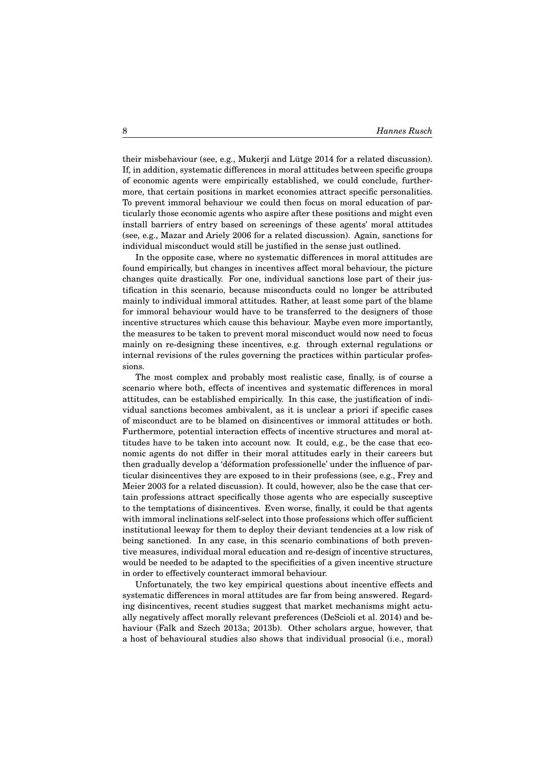their misbehaviour (see, e.g., Mukerji and Lütge 2014 for a related discussion). If, in addition, systematic differences in moral attitudes between specific groups of economic agents were empirically established, we could conclude, furthermore, that certain positions in market economies attract specific personalities. To prevent immoral behaviour we could then focus on moral education of particularly those economic agents who aspire after these positions and might even install barriers of entry based on screenings of these agents' moral attitudes (see, e.g., Mazar and Ariely 2006 for a related discussion). Again, sanctions for individual misconduct would still be justified in the sense just outlined.

In the opposite case, where no systematic differences in moral attitudes are found empirically, but changes in incentives affect moral behaviour, the picture changes quite drastically. For one, individual sanctions lose part of their justification in this scenario, because misconducts could no longer be attributed mainly to individual immoral attitudes. Rather, at least some part of the blame for immoral behaviour would have to be transferred to the designers of those incentive structures which cause this behaviour. Maybe even more importantly, the measures to be taken to prevent moral misconduct would now need to focus mainly on re-designing these incentives, e.g. through external regulations or internal revisions of the rules governing the practices within particular professions.

The most complex and probably most realistic case, finally, is of course a scenario where both, effects of incentives and systematic differences in moral attitudes, can be established empirically. In this case, the justification of individual sanctions becomes ambivalent, as it is unclear a priori if specific cases of misconduct are to be blamed on disincentives or immoral attitudes or both. Furthermore, potential interaction effects of incentive structures and moral attitudes have to be taken into account now. It could, e.g., be the case that economic agents do not differ in their moral attitudes early in their careers but then gradually develop a 'déformation professionelle' under the influence of particular disincentives they are exposed to in their professions (see, e.g., Frey and Meier 2003 for a related discussion). It could, however, also be the case that certain professions attract specifically those agents who are especially susceptive to the temptations of disincentives. Even worse, finally, it could be that agents with immoral inclinations self-select into those professions which offer sufficient institutional leeway for them to deploy their deviant tendencies at a low risk of being sanctioned. In any case, in this scenario combinations of both preventive measures, individual moral education and re-design of incentive structures, would be needed to be adapted to the specificities of a given incentive structure in order to effectively counteract immoral behaviour.

Unfortunately, the two key empirical questions about incentive effects and systematic differences in moral attitudes are far from being answered. Regarding disincentives, recent studies suggest that market mechanisms might actually negatively affect morally relevant preferences (DeScioli et al. 2014) and behaviour (Falk and Szech 2013a; 2013b). Other scholars argue, however, that a host of behavioural studies also shows that individual prosocial (i.e., moral)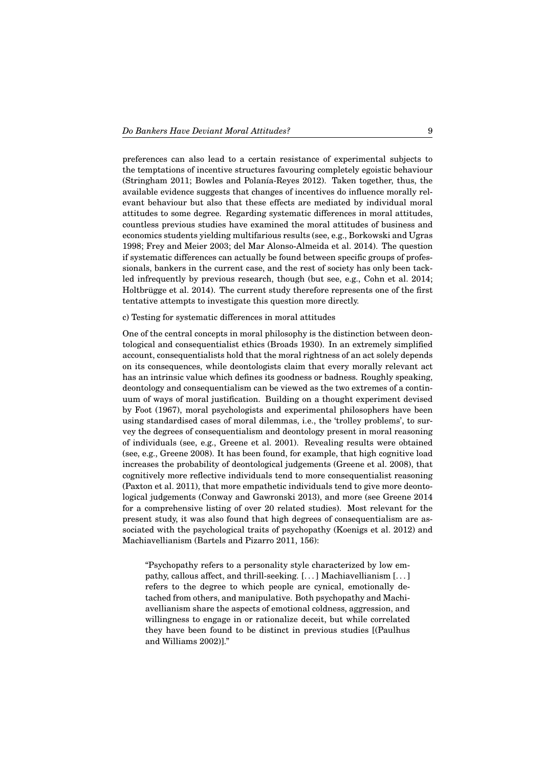preferences can also lead to a certain resistance of experimental subjects to the temptations of incentive structures favouring completely egoistic behaviour (Stringham 2011; Bowles and Polanía-Reyes 2012). Taken together, thus, the available evidence suggests that changes of incentives do influence morally relevant behaviour but also that these effects are mediated by individual moral attitudes to some degree. Regarding systematic differences in moral attitudes, countless previous studies have examined the moral attitudes of business and economics students yielding multifarious results (see, e.g., Borkowski and Ugras 1998; Frey and Meier 2003; del Mar Alonso-Almeida et al. 2014). The question if systematic differences can actually be found between specific groups of professionals, bankers in the current case, and the rest of society has only been tackled infrequently by previous research, though (but see, e.g., Cohn et al. 2014; Holtbrügge et al. 2014). The current study therefore represents one of the first tentative attempts to investigate this question more directly.

c) Testing for systematic differences in moral attitudes

One of the central concepts in moral philosophy is the distinction between deontological and consequentialist ethics (Broads 1930). In an extremely simplified account, consequentialists hold that the moral rightness of an act solely depends on its consequences, while deontologists claim that every morally relevant act has an intrinsic value which defines its goodness or badness. Roughly speaking, deontology and consequentialism can be viewed as the two extremes of a continuum of ways of moral justification. Building on a thought experiment devised by Foot (1967), moral psychologists and experimental philosophers have been using standardised cases of moral dilemmas, i.e., the 'trolley problems', to survey the degrees of consequentialism and deontology present in moral reasoning of individuals (see, e.g., Greene et al. 2001). Revealing results were obtained (see, e.g., Greene 2008). It has been found, for example, that high cognitive load increases the probability of deontological judgements (Greene et al. 2008), that cognitively more reflective individuals tend to more consequentialist reasoning (Paxton et al. 2011), that more empathetic individuals tend to give more deontological judgements (Conway and Gawronski 2013), and more (see Greene 2014 for a comprehensive listing of over 20 related studies). Most relevant for the present study, it was also found that high degrees of consequentialism are associated with the psychological traits of psychopathy (Koenigs et al. 2012) and Machiavellianism (Bartels and Pizarro 2011, 156):

"Psychopathy refers to a personality style characterized by low empathy, callous affect, and thrill-seeking. [. . . ] Machiavellianism [. . . ] refers to the degree to which people are cynical, emotionally detached from others, and manipulative. Both psychopathy and Machiavellianism share the aspects of emotional coldness, aggression, and willingness to engage in or rationalize deceit, but while correlated they have been found to be distinct in previous studies [(Paulhus and Williams 2002)]."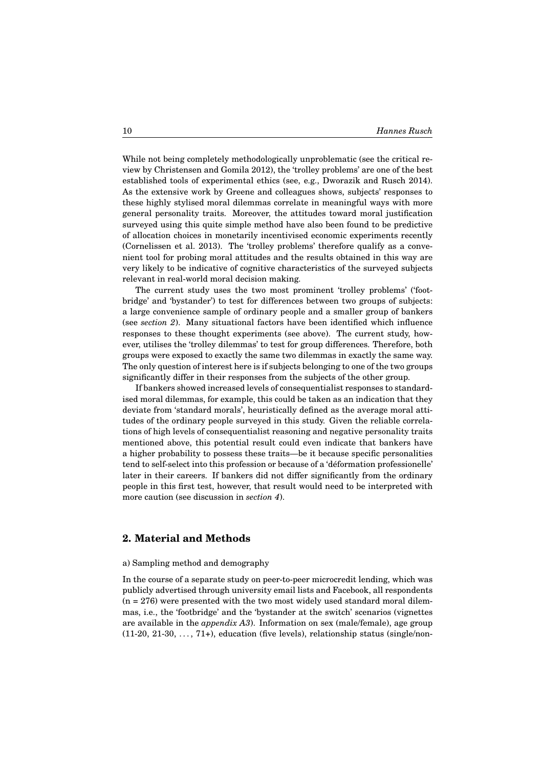While not being completely methodologically unproblematic (see the critical review by Christensen and Gomila 2012), the 'trolley problems' are one of the best established tools of experimental ethics (see, e.g., Dworazik and Rusch 2014). As the extensive work by Greene and colleagues shows, subjects' responses to these highly stylised moral dilemmas correlate in meaningful ways with more general personality traits. Moreover, the attitudes toward moral justification surveyed using this quite simple method have also been found to be predictive of allocation choices in monetarily incentivised economic experiments recently (Cornelissen et al. 2013). The 'trolley problems' therefore qualify as a convenient tool for probing moral attitudes and the results obtained in this way are very likely to be indicative of cognitive characteristics of the surveyed subjects relevant in real-world moral decision making.

The current study uses the two most prominent 'trolley problems' ('footbridge' and 'bystander') to test for differences between two groups of subjects: a large convenience sample of ordinary people and a smaller group of bankers (see *section 2*). Many situational factors have been identified which influence responses to these thought experiments (see above). The current study, however, utilises the 'trolley dilemmas' to test for group differences. Therefore, both groups were exposed to exactly the same two dilemmas in exactly the same way. The only question of interest here is if subjects belonging to one of the two groups significantly differ in their responses from the subjects of the other group.

If bankers showed increased levels of consequentialist responses to standardised moral dilemmas, for example, this could be taken as an indication that they deviate from 'standard morals', heuristically defined as the average moral attitudes of the ordinary people surveyed in this study. Given the reliable correlations of high levels of consequentialist reasoning and negative personality traits mentioned above, this potential result could even indicate that bankers have a higher probability to possess these traits—be it because specific personalities tend to self-select into this profession or because of a 'déformation professionelle' later in their careers. If bankers did not differ significantly from the ordinary people in this first test, however, that result would need to be interpreted with more caution (see discussion in *section 4*).

## **2. Material and Methods**

#### a) Sampling method and demography

In the course of a separate study on peer-to-peer microcredit lending, which was publicly advertised through university email lists and Facebook, all respondents  $(n = 276)$  were presented with the two most widely used standard moral dilemmas, i.e., the 'footbridge' and the 'bystander at the switch' scenarios (vignettes are available in the *appendix A3*). Information on sex (male/female), age group  $(11-20, 21-30, \ldots, 71+)$ , education (five levels), relationship status (single/non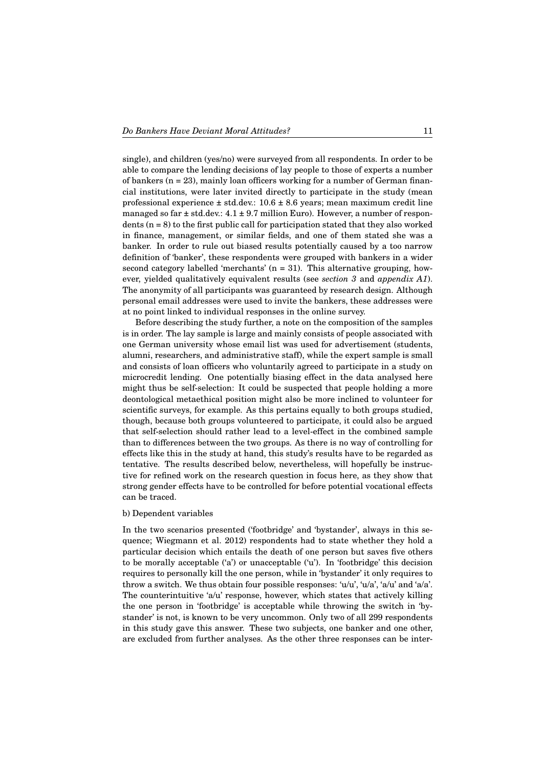single), and children (yes/no) were surveyed from all respondents. In order to be able to compare the lending decisions of lay people to those of experts a number of bankers  $(n = 23)$ , mainly loan officers working for a number of German financial institutions, were later invited directly to participate in the study (mean professional experience  $\pm$  std.dev.: 10.6  $\pm$  8.6 years; mean maximum credit line managed so far  $\pm$  std.dev.:  $4.1 \pm 9.7$  million Euro). However, a number of respondents  $(n = 8)$  to the first public call for participation stated that they also worked in finance, management, or similar fields, and one of them stated she was a banker. In order to rule out biased results potentially caused by a too narrow definition of 'banker', these respondents were grouped with bankers in a wider second category labelled 'merchants' (n = 31). This alternative grouping, however, yielded qualitatively equivalent results (see *section 3* and *appendix A1*). The anonymity of all participants was guaranteed by research design. Although personal email addresses were used to invite the bankers, these addresses were at no point linked to individual responses in the online survey.

Before describing the study further, a note on the composition of the samples is in order. The lay sample is large and mainly consists of people associated with one German university whose email list was used for advertisement (students, alumni, researchers, and administrative staff), while the expert sample is small and consists of loan officers who voluntarily agreed to participate in a study on microcredit lending. One potentially biasing effect in the data analysed here might thus be self-selection: It could be suspected that people holding a more deontological metaethical position might also be more inclined to volunteer for scientific surveys, for example. As this pertains equally to both groups studied, though, because both groups volunteered to participate, it could also be argued that self-selection should rather lead to a level-effect in the combined sample than to differences between the two groups. As there is no way of controlling for effects like this in the study at hand, this study's results have to be regarded as tentative. The results described below, nevertheless, will hopefully be instructive for refined work on the research question in focus here, as they show that strong gender effects have to be controlled for before potential vocational effects can be traced.

#### b) Dependent variables

In the two scenarios presented ('footbridge' and 'bystander', always in this sequence; Wiegmann et al. 2012) respondents had to state whether they hold a particular decision which entails the death of one person but saves five others to be morally acceptable ('a') or unacceptable ('u'). In 'footbridge' this decision requires to personally kill the one person, while in 'bystander' it only requires to throw a switch. We thus obtain four possible responses: 'u/u', 'u/a', 'a/u' and 'a/a'. The counterintuitive 'a/u' response, however, which states that actively killing the one person in 'footbridge' is acceptable while throwing the switch in 'bystander' is not, is known to be very uncommon. Only two of all 299 respondents in this study gave this answer. These two subjects, one banker and one other, are excluded from further analyses. As the other three responses can be inter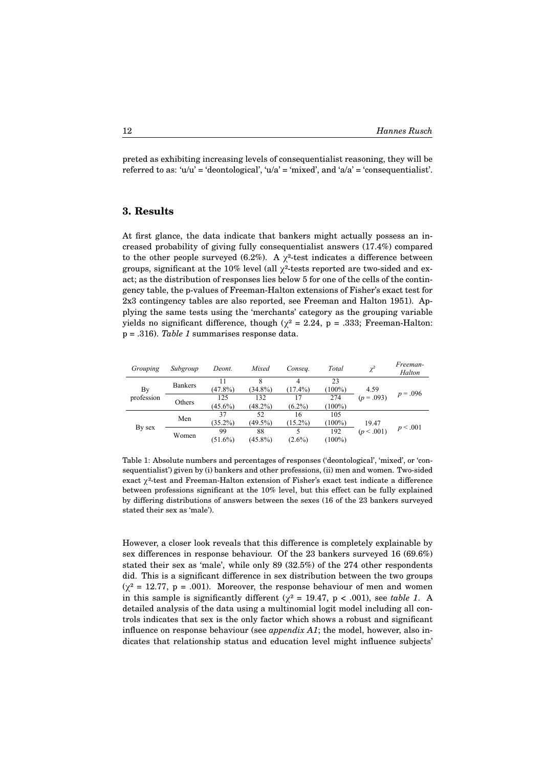preted as exhibiting increasing levels of consequentialist reasoning, they will be referred to as: 'u/u' = 'deontological', 'u/a' = 'mixed', and 'a/a' = 'consequentialist'.

## **3. Results**

At first glance, the data indicate that bankers might actually possess an increased probability of giving fully consequentialist answers (17.4%) compared to the other people surveyed (6.2%). A  $\chi^2$ -test indicates a difference between groups, significant at the 10% level (all  $\chi^2$ -tests reported are two-sided and exact; as the distribution of responses lies below 5 for one of the cells of the contingency table, the p-values of Freeman-Halton extensions of Fisher's exact test for 2x3 contingency tables are also reported, see Freeman and Halton 1951). Applying the same tests using the 'merchants' category as the grouping variable yields no significant difference, though ( $\chi^2 = 2.24$ , p = .333; Freeman-Halton: p = .316). *Table 1* summarises response data.

| Grouping         | Subgroup       | Deont.            | Mixed             | Conseq.          | Total            | $\gamma^2$          | Freeman-<br>Halton |
|------------------|----------------|-------------------|-------------------|------------------|------------------|---------------------|--------------------|
| By<br>profession | <b>Bankers</b> | $(47.8\%)$        | $(34.8\%)$        | $(17.4\%)$       | 23<br>$(100\%)$  | 4.59<br>$(p=.093)$  | $p = .096$         |
|                  | Others         | 125<br>$(45.6\%)$ | 132<br>$(48.2\%)$ | 17<br>$(6.2\%)$  | 274<br>$(100\%)$ |                     |                    |
| By sex           | Men            | 37<br>$(35.2\%)$  | 52<br>$(49.5\%)$  | 16<br>$(15.2\%)$ | 105<br>$(100\%)$ | 19.47<br>(p < .001) | p < .001           |
|                  | Women          | 99<br>$(51.6\%)$  | 88<br>$(45.8\%)$  | 5<br>$(2.6\%)$   | 192<br>$(100\%)$ |                     |                    |

Table 1: Absolute numbers and percentages of responses ('deontological', 'mixed', or 'consequentialist') given by (i) bankers and other professions, (ii) men and women. Two-sided exact  $\chi^2$ -test and Freeman-Halton extension of Fisher's exact test indicate a difference  $\alpha$  distributions of answers  $\alpha$  the sexes (16 of the  $\alpha$ ) between the surveyed stated surveyed stated stated stated stated stated stated stated stated stated stated stated stated stated stated stated stated stated sta between professions significant at the 10% level, but this effect can be fully explained stated their sex as 'male'). by differing distributions of answers between the sexes (16 of the 23 bankers surveyed

However, a closer look reveals that this difference is completely explainable by  $M_{\text{M}}$  and  $M_{\text{M}}$  is  $M_{\text{M}}$  is sample in the response behaviour of  $M_{\text{M}}$  and  $M_{\text{M}}$  and  $M_{\text{M}}$  and  $M_{\text{M}}$  (c) sex differences in response behaviour. Of the 23 bankers surveyed 16 (69.6%) stated their sex as 'male', while only 89  $(32.5%)$  of the 274 other respondents did. This is a significant difference in sex distribution between the two groups  $(\chi^2 = 12.77, p = .001)$ . Moreover, the response behaviour of men and women in this sample is significantly different ( $\chi^2$  = 19.47, p < .001), see *table 1*. A detailed analysis of the data using a multinomial logit model including all controls indicates that sex is the only factor which shows a robust and significant influence on response behaviour (see *appendix A1*; the model, however, also in- $\frac{1}{\sqrt{2}}$  significant differences between responses of advection lovel might influence subjection dicates that relationship status and education level might influence subjects'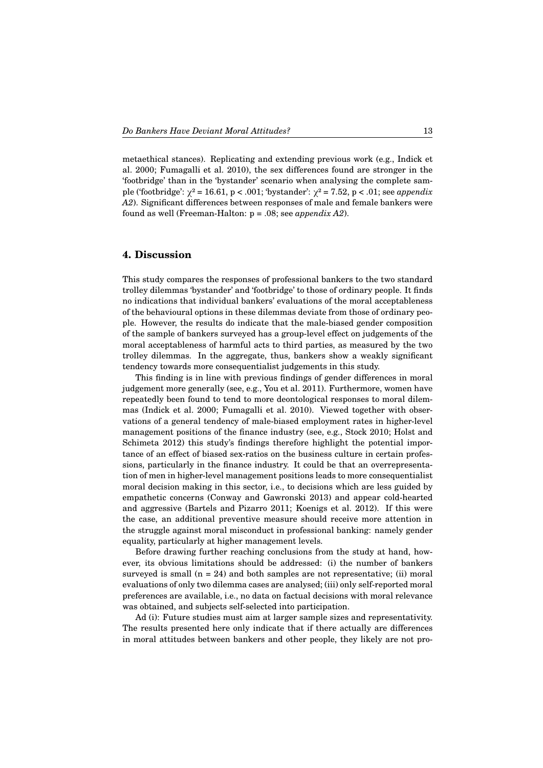metaethical stances). Replicating and extending previous work (e.g., Indick et al. 2000; Fumagalli et al. 2010), the sex differences found are stronger in the 'footbridge' than in the 'bystander' scenario when analysing the complete sample ('footbridge': χ² = 16.61, p < .001; 'bystander': χ² = 7.52, p < .01; see *appendix A2*). Significant differences between responses of male and female bankers were found as well (Freeman-Halton: p = .08; see *appendix A2*).

## **4. Discussion**

This study compares the responses of professional bankers to the two standard trolley dilemmas 'bystander' and 'footbridge' to those of ordinary people. It finds no indications that individual bankers' evaluations of the moral acceptableness of the behavioural options in these dilemmas deviate from those of ordinary people. However, the results do indicate that the male-biased gender composition of the sample of bankers surveyed has a group-level effect on judgements of the moral acceptableness of harmful acts to third parties, as measured by the two trolley dilemmas. In the aggregate, thus, bankers show a weakly significant tendency towards more consequentialist judgements in this study.

This finding is in line with previous findings of gender differences in moral judgement more generally (see, e.g., You et al. 2011). Furthermore, women have repeatedly been found to tend to more deontological responses to moral dilemmas (Indick et al. 2000; Fumagalli et al. 2010). Viewed together with observations of a general tendency of male-biased employment rates in higher-level management positions of the finance industry (see, e.g., Stock 2010; Holst and Schimeta 2012) this study's findings therefore highlight the potential importance of an effect of biased sex-ratios on the business culture in certain professions, particularly in the finance industry. It could be that an overrepresentation of men in higher-level management positions leads to more consequentialist moral decision making in this sector, i.e., to decisions which are less guided by empathetic concerns (Conway and Gawronski 2013) and appear cold-hearted and aggressive (Bartels and Pizarro 2011; Koenigs et al. 2012). If this were the case, an additional preventive measure should receive more attention in the struggle against moral misconduct in professional banking: namely gender equality, particularly at higher management levels.

Before drawing further reaching conclusions from the study at hand, however, its obvious limitations should be addressed: (i) the number of bankers surveyed is small  $(n = 24)$  and both samples are not representative; (ii) moral evaluations of only two dilemma cases are analysed; (iii) only self-reported moral preferences are available, i.e., no data on factual decisions with moral relevance was obtained, and subjects self-selected into participation.

Ad (i): Future studies must aim at larger sample sizes and representativity. The results presented here only indicate that if there actually are differences in moral attitudes between bankers and other people, they likely are not pro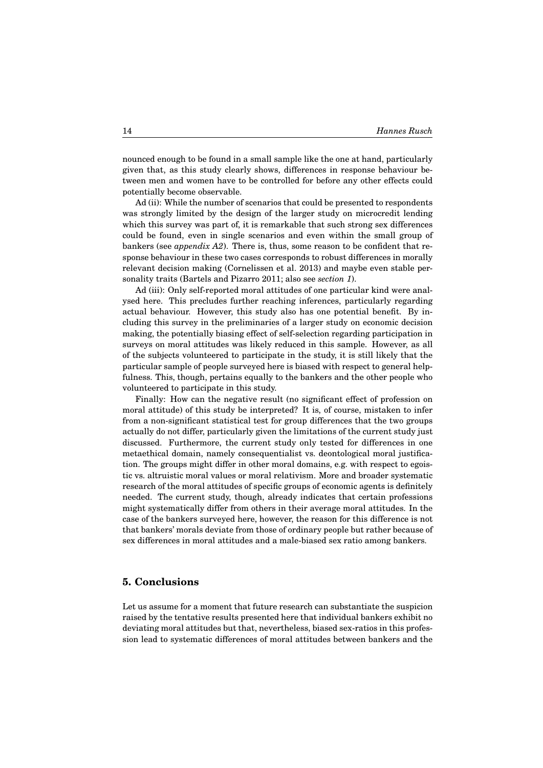nounced enough to be found in a small sample like the one at hand, particularly given that, as this study clearly shows, differences in response behaviour between men and women have to be controlled for before any other effects could potentially become observable.

Ad (ii): While the number of scenarios that could be presented to respondents was strongly limited by the design of the larger study on microcredit lending which this survey was part of, it is remarkable that such strong sex differences could be found, even in single scenarios and even within the small group of bankers (see *appendix A2*). There is, thus, some reason to be confident that response behaviour in these two cases corresponds to robust differences in morally relevant decision making (Cornelissen et al. 2013) and maybe even stable personality traits (Bartels and Pizarro 2011; also see *section 1*).

Ad (iii): Only self-reported moral attitudes of one particular kind were analysed here. This precludes further reaching inferences, particularly regarding actual behaviour. However, this study also has one potential benefit. By including this survey in the preliminaries of a larger study on economic decision making, the potentially biasing effect of self-selection regarding participation in surveys on moral attitudes was likely reduced in this sample. However, as all of the subjects volunteered to participate in the study, it is still likely that the particular sample of people surveyed here is biased with respect to general helpfulness. This, though, pertains equally to the bankers and the other people who volunteered to participate in this study.

Finally: How can the negative result (no significant effect of profession on moral attitude) of this study be interpreted? It is, of course, mistaken to infer from a non-significant statistical test for group differences that the two groups actually do not differ, particularly given the limitations of the current study just discussed. Furthermore, the current study only tested for differences in one metaethical domain, namely consequentialist vs. deontological moral justification. The groups might differ in other moral domains, e.g. with respect to egoistic vs. altruistic moral values or moral relativism. More and broader systematic research of the moral attitudes of specific groups of economic agents is definitely needed. The current study, though, already indicates that certain professions might systematically differ from others in their average moral attitudes. In the case of the bankers surveyed here, however, the reason for this difference is not that bankers' morals deviate from those of ordinary people but rather because of sex differences in moral attitudes and a male-biased sex ratio among bankers.

### **5. Conclusions**

Let us assume for a moment that future research can substantiate the suspicion raised by the tentative results presented here that individual bankers exhibit no deviating moral attitudes but that, nevertheless, biased sex-ratios in this profession lead to systematic differences of moral attitudes between bankers and the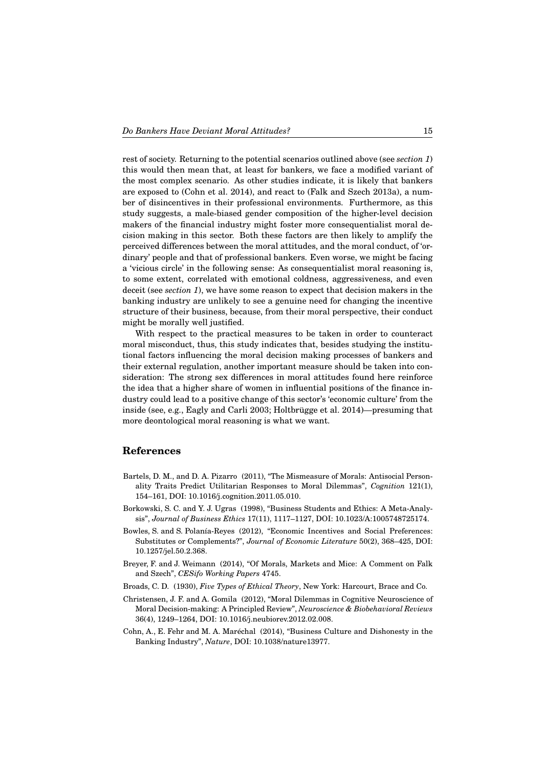rest of society. Returning to the potential scenarios outlined above (see *section 1*) this would then mean that, at least for bankers, we face a modified variant of the most complex scenario. As other studies indicate, it is likely that bankers are exposed to (Cohn et al. 2014), and react to (Falk and Szech 2013a), a number of disincentives in their professional environments. Furthermore, as this study suggests, a male-biased gender composition of the higher-level decision makers of the financial industry might foster more consequentialist moral decision making in this sector. Both these factors are then likely to amplify the perceived differences between the moral attitudes, and the moral conduct, of 'ordinary' people and that of professional bankers. Even worse, we might be facing a 'vicious circle' in the following sense: As consequentialist moral reasoning is, to some extent, correlated with emotional coldness, aggressiveness, and even deceit (see *section 1*), we have some reason to expect that decision makers in the banking industry are unlikely to see a genuine need for changing the incentive structure of their business, because, from their moral perspective, their conduct might be morally well justified.

With respect to the practical measures to be taken in order to counteract moral misconduct, thus, this study indicates that, besides studying the institutional factors influencing the moral decision making processes of bankers and their external regulation, another important measure should be taken into consideration: The strong sex differences in moral attitudes found here reinforce the idea that a higher share of women in influential positions of the finance industry could lead to a positive change of this sector's 'economic culture' from the inside (see, e.g., Eagly and Carli 2003; Holtbrügge et al. 2014)—presuming that more deontological moral reasoning is what we want.

#### **References**

- Bartels, D. M., and D. A. Pizarro (2011), "The Mismeasure of Morals: Antisocial Personality Traits Predict Utilitarian Responses to Moral Dilemmas", *Cognition* 121(1), 154–161, DOI: 10.1016/j.cognition.2011.05.010.
- Borkowski, S. C. and Y. J. Ugras (1998), "Business Students and Ethics: A Meta-Analysis", *Journal of Business Ethics* 17(11), 1117–1127, DOI: 10.1023/A:1005748725174.
- Bowles, S. and S. Polanía-Reyes (2012), "Economic Incentives and Social Preferences: Substitutes or Complements?", *Journal of Economic Literature* 50(2), 368–425, DOI: 10.1257/jel.50.2.368.
- Breyer, F. and J. Weimann (2014), "Of Morals, Markets and Mice: A Comment on Falk and Szech", *CESifo Working Papers* 4745.
- Broads, C. D. (1930), *Five Types of Ethical Theory*, New York: Harcourt, Brace and Co.
- Christensen, J. F. and A. Gomila (2012), "Moral Dilemmas in Cognitive Neuroscience of Moral Decision-making: A Principled Review", *Neuroscience & Biobehavioral Reviews* 36(4), 1249–1264, DOI: 10.1016/j.neubiorev.2012.02.008.
- Cohn, A., E. Fehr and M. A. Maréchal (2014), "Business Culture and Dishonesty in the Banking Industry", *Nature*, DOI: 10.1038/nature13977.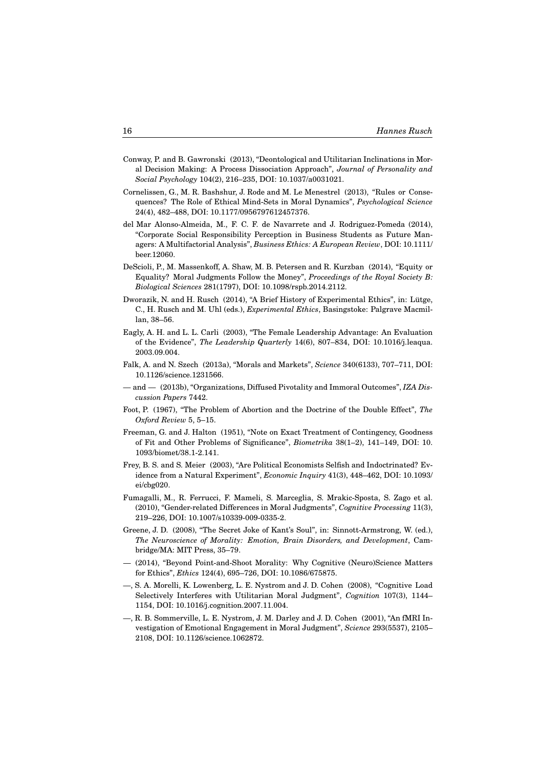- Conway, P. and B. Gawronski (2013), "Deontological and Utilitarian Inclinations in Moral Decision Making: A Process Dissociation Approach", *Journal of Personality and Social Psychology* 104(2), 216–235, DOI: 10.1037/a0031021.
- Cornelissen, G., M. R. Bashshur, J. Rode and M. Le Menestrel (2013), "Rules or Consequences? The Role of Ethical Mind-Sets in Moral Dynamics", *Psychological Science* 24(4), 482–488, DOI: 10.1177/0956797612457376.
- del Mar Alonso-Almeida, M., F. C. F. de Navarrete and J. Rodriguez-Pomeda (2014), "Corporate Social Responsibility Perception in Business Students as Future Managers: A Multifactorial Analysis", *Business Ethics: A European Review*, DOI: 10.1111/ beer.12060.
- DeScioli, P., M. Massenkoff, A. Shaw, M. B. Petersen and R. Kurzban (2014), "Equity or Equality? Moral Judgments Follow the Money", *Proceedings of the Royal Society B: Biological Sciences* 281(1797), DOI: 10.1098/rspb.2014.2112.
- Dworazik, N. and H. Rusch (2014), "A Brief History of Experimental Ethics", in: Lütge, C., H. Rusch and M. Uhl (eds.), *Experimental Ethics*, Basingstoke: Palgrave Macmillan, 38–56.
- Eagly, A. H. and L. L. Carli (2003), "The Female Leadership Advantage: An Evaluation of the Evidence", *The Leadership Quarterly* 14(6), 807–834, DOI: 10.1016/j.leaqua. 2003.09.004.
- Falk, A. and N. Szech (2013a), "Morals and Markets", *Science* 340(6133), 707–711, DOI: 10.1126/science.1231566.
- and  $-$  (2013b), "Organizations, Diffused Pivotality and Immoral Outcomes", *IZA Discussion Papers* 7442.
- Foot, P. (1967), "The Problem of Abortion and the Doctrine of the Double Effect", *The Oxford Review* 5, 5–15.
- Freeman, G. and J. Halton (1951), "Note on Exact Treatment of Contingency, Goodness of Fit and Other Problems of Significance", *Biometrika* 38(1–2), 141–149, DOI: 10. 1093/biomet/38.1-2.141.
- Frey, B. S. and S. Meier (2003), "Are Political Economists Selfish and Indoctrinated? Evidence from a Natural Experiment", *Economic Inquiry* 41(3), 448–462, DOI: 10.1093/ ei/cbg020.
- Fumagalli, M., R. Ferrucci, F. Mameli, S. Marceglia, S. Mrakic-Sposta, S. Zago et al. (2010), "Gender-related Differences in Moral Judgments", *Cognitive Processing* 11(3), 219–226, DOI: 10.1007/s10339-009-0335-2.
- Greene, J. D. (2008), "The Secret Joke of Kant's Soul", in: Sinnott-Armstrong, W. (ed.), *The Neuroscience of Morality: Emotion, Brain Disorders, and Development*, Cambridge/MA: MIT Press, 35–79.
- (2014), "Beyond Point-and-Shoot Morality: Why Cognitive (Neuro)Science Matters for Ethics", *Ethics* 124(4), 695–726, DOI: 10.1086/675875.
- —, S. A. Morelli, K. Lowenberg, L. E. Nystrom and J. D. Cohen (2008), "Cognitive Load Selectively Interferes with Utilitarian Moral Judgment", *Cognition* 107(3), 1144– 1154, DOI: 10.1016/j.cognition.2007.11.004.
- —, R. B. Sommerville, L. E. Nystrom, J. M. Darley and J. D. Cohen (2001), "An fMRI Investigation of Emotional Engagement in Moral Judgment", *Science* 293(5537), 2105– 2108, DOI: 10.1126/science.1062872.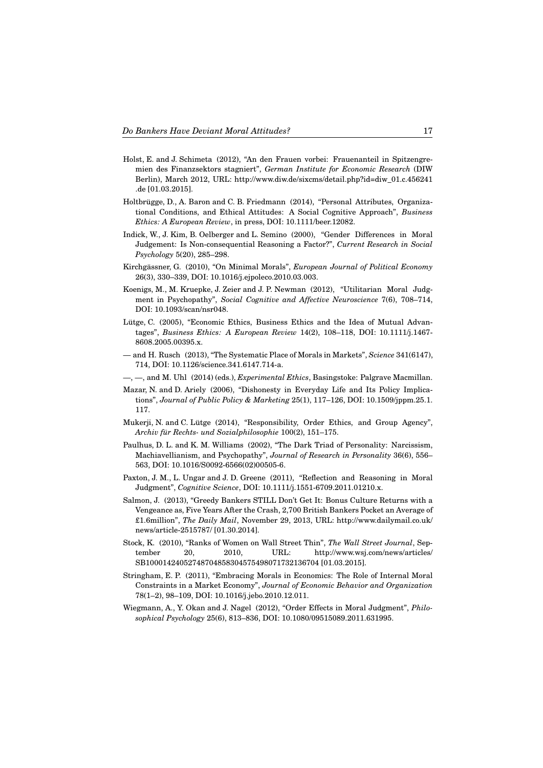- Holst, E. and J. Schimeta (2012), "An den Frauen vorbei: Frauenanteil in Spitzengremien des Finanzsektors stagniert", *German Institute for Economic Research* (DIW Berlin), March 2012, URL: http://www.diw.de/sixcms/detail.php?id=diw\_01.c.456241 .de [01.03.2015].
- Holtbrügge, D., A. Baron and C. B. Friedmann (2014), "Personal Attributes, Organizational Conditions, and Ethical Attitudes: A Social Cognitive Approach", *Business Ethics: A European Review*, in press, DOI: 10.1111/beer.12082.
- Indick, W., J. Kim, B. Oelberger and L. Semino (2000), "Gender Differences in Moral Judgement: Is Non-consequential Reasoning a Factor?", *Current Research in Social Psychology* 5(20), 285–298.
- Kirchgässner, G. (2010), "On Minimal Morals", *European Journal of Political Economy* 26(3), 330–339, DOI: 10.1016/j.ejpoleco.2010.03.003.
- Koenigs, M., M. Kruepke, J. Zeier and J. P. Newman (2012), "Utilitarian Moral Judgment in Psychopathy", *Social Cognitive and Affective Neuroscience* 7(6), 708–714, DOI: 10.1093/scan/nsr048.
- Lütge, C. (2005), "Economic Ethics, Business Ethics and the Idea of Mutual Advantages", *Business Ethics: A European Review* 14(2), 108–118, DOI: 10.1111/j.1467- 8608.2005.00395.x.
- and H. Rusch (2013), "The Systematic Place of Morals in Markets", *Science* 341(6147), 714, DOI: 10.1126/science.341.6147.714-a.
- —, —, and M. Uhl (2014) (eds.), *Experimental Ethics*, Basingstoke: Palgrave Macmillan.
- Mazar, N. and D. Ariely (2006), "Dishonesty in Everyday Life and Its Policy Implications", *Journal of Public Policy & Marketing* 25(1), 117–126, DOI: 10.1509/jppm.25.1. 117.
- Mukerji, N. and C. Lütge (2014), "Responsibility, Order Ethics, and Group Agency", *Archiv für Rechts- und Sozialphilosophie* 100(2), 151–175.
- Paulhus, D. L. and K. M. Williams (2002), "The Dark Triad of Personality: Narcissism, Machiavellianism, and Psychopathy", *Journal of Research in Personality* 36(6), 556– 563, DOI: 10.1016/S0092-6566(02)00505-6.
- Paxton, J. M., L. Ungar and J. D. Greene (2011), "Reflection and Reasoning in Moral Judgment", *Cognitive Science*, DOI: 10.1111/j.1551-6709.2011.01210.x.
- Salmon, J. (2013), "Greedy Bankers STILL Don't Get It: Bonus Culture Returns with a Vengeance as, Five Years After the Crash, 2,700 British Bankers Pocket an Average of £1.6million", *The Daily Mail*, November 29, 2013, URL: http://www.dailymail.co.uk/ news/article-2515787/ [01.30.2014].
- Stock, K. (2010), "Ranks of Women on Wall Street Thin", *The Wall Street Journal*, September 20, 2010, URL: http://www.wsj.com/news/articles/ SB10001424052748704858304575498071732136704 [01.03.2015].
- Stringham, E. P. (2011), "Embracing Morals in Economics: The Role of Internal Moral Constraints in a Market Economy", *Journal of Economic Behavior and Organization* 78(1–2), 98–109, DOI: 10.1016/j.jebo.2010.12.011.
- Wiegmann, A., Y. Okan and J. Nagel (2012), "Order Effects in Moral Judgment", *Philosophical Psychology* 25(6), 813–836, DOI: 10.1080/09515089.2011.631995.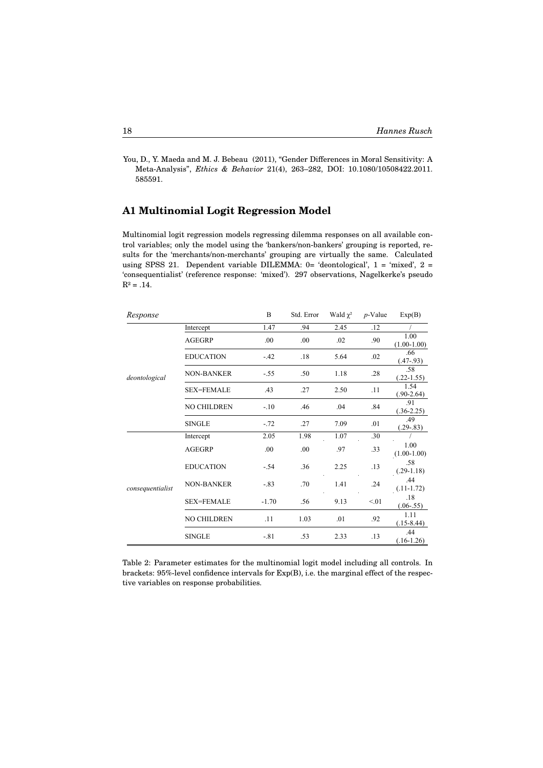You, D., Y. Maeda and M. J. Bebeau (2011), "Gender Differences in Moral Sensitivity: A Meta-Analysis", *Ethics & Behavior* 21(4), 263–282, DOI: 10.1080/10508422.2011. 585591.  $585591.$ 

# **A1 Multinomial Logit Regression Model Appendix**

Multinomial logit regression models regressing dilemma responses on all available control variables; only the model using the 'bankers/non-bankers' grouping is reported, results for the 'merchants/non-merchants' grouping are virtually the same. Calculated using SPSS 21. Dependent variable DILEMMA:  $0=$  'deontological',  $1=$  'mixed',  $2=$ 'consequentialist' (reference response: 'mixed'). 297 observations, Nagelkerke's pseudo  $R^2 = .14$ .  $2^2 = .14$ .

| Response         |                    | B       | Std. Error | Wald $\chi^2$ | $p$ -Value | Exp(B)                |
|------------------|--------------------|---------|------------|---------------|------------|-----------------------|
|                  | Intercept          | 1.47    | .94        | 2.45          | .12        |                       |
|                  | <b>AGEGRP</b>      | .00     | .00        | .02           | .90        | 1.00<br>$(1.00-1.00)$ |
|                  | <b>EDUCATION</b>   | $-.42$  | .18        | 5.64          | .02        | .66<br>$(.47-.93)$    |
| deontological    | <b>NON-BANKER</b>  | $-.55$  | .50        | 1.18          | .28        | .58<br>$(.22-1.55)$   |
|                  | <b>SEX=FEMALE</b>  | .43     | .27        | 2.50          | .11        | 1.54<br>$(.90-2.64)$  |
|                  | <b>NO CHILDREN</b> | $-.10$  | .46        | .04           | .84        | .91<br>$(.36-2.25)$   |
|                  | <b>SINGLE</b>      | $-.72$  | .27        | 7.09          | .01        | .49<br>$(.29-.83)$    |
|                  | Intercept          | 2.05    | 1.98       | 1.07          | .30        |                       |
|                  | AGEGRP             | .00     | .00        | .97           | .33        | 1.00<br>$(1.00-1.00)$ |
|                  | <b>EDUCATION</b>   | $-.54$  | .36        | 2.25          | .13        | .58<br>$(.29-1.18)$   |
| consequentialist | <b>NON-BANKER</b>  | $-.83$  | .70        | 1.41          | .24        | .44<br>$(.11-1.72)$   |
|                  | <b>SEX=FEMALE</b>  | $-1.70$ | .56        | 9.13          | < 01       | .18<br>$(.06-.55)$    |
|                  | <b>NO CHILDREN</b> | .11     | 1.03       | .01           | .92        | 1.11<br>$(.15-8.44)$  |
|                  | <b>SINGLE</b>      | $-.81$  | .53        | 2.33          | .13        | .44<br>$(.16-1.26)$   |

Table 2: Parameter estimates for the multinomial logit model including all controls. In brackets: 95%-level confidence intervals for Exp(B), i.e. the marginal effect of the respective variables on response probabilities.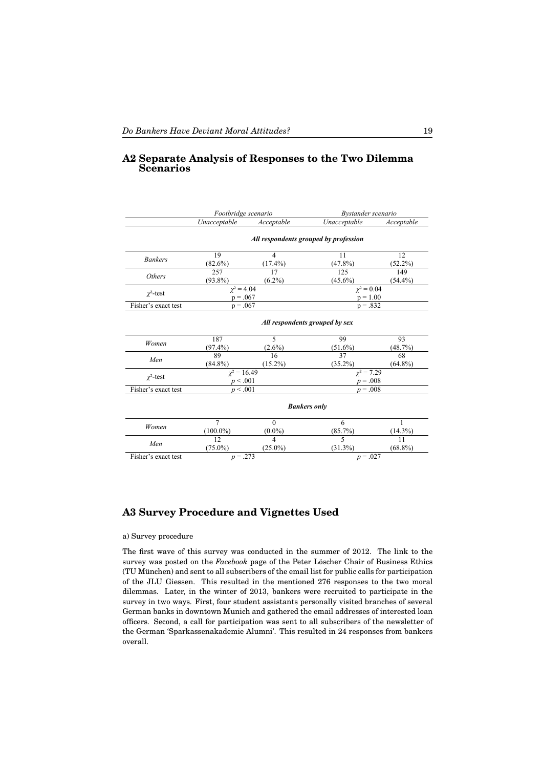#### A2 Separate Analysis of Responses to the Two Dilemma **Scenarios**

|                     | Footbridge scenario                   |                                     | Bystander scenario            |                   |  |  |  |
|---------------------|---------------------------------------|-------------------------------------|-------------------------------|-------------------|--|--|--|
|                     | Unacceptable                          | <b>Acceptable</b>                   | Unacceptable                  | Acceptable        |  |  |  |
|                     | All respondents grouped by profession |                                     |                               |                   |  |  |  |
| <b>Bankers</b>      | 19<br>(82.6%)                         | $\overline{4}$<br>$(17.4\%)$        | 11<br>$(47.8\%)$              | 12<br>$(52.2\%)$  |  |  |  |
| <b>Others</b>       | 257<br>$(93.8\%)$                     | 17<br>$(6.2\%)$                     | 125<br>$(45.6\%)$             | 149<br>$(54.4\%)$ |  |  |  |
| $\chi^2$ -test      | $\gamma^2 = 4.04$<br>$p = .067$       |                                     | $\chi^2 = 0.04$<br>$p = 1.00$ |                   |  |  |  |
| Fisher's exact test | $p = .067$                            |                                     | $p = .832$                    |                   |  |  |  |
|                     | All respondents grouped by sex        |                                     |                               |                   |  |  |  |
| Women               | 187<br>$(97.4\%)$                     | 5<br>$(2.6\%)$                      | 99<br>$(51.6\%)$              | 93<br>(48.7%)     |  |  |  |
| Men                 | 89<br>$(84.8\%)$                      | 16<br>$(15.2\%)$                    | 37<br>$(35.2\%)$              | 68<br>$(64.8\%)$  |  |  |  |
| $\chi^2$ -test      | $\chi^2 = 16.49$<br>p < .001          |                                     | $\chi^2 = 7.29$<br>$p = .008$ |                   |  |  |  |
| Fisher's exact test | p < .001                              |                                     | $p = .008$                    |                   |  |  |  |
|                     | <b>Bankers only</b>                   |                                     |                               |                   |  |  |  |
| Women               | $\overline{7}$<br>$(100.0\%)$         | $\Omega$<br>$(0.0\%)$               | 6<br>(85.7%)                  | 1<br>(14.3%)      |  |  |  |
| Men                 | 12<br>$(75.0\%)$                      | $\boldsymbol{\Delta}$<br>$(25.0\%)$ | 5<br>$(31.3\%)$               | 11<br>$(68.8\%)$  |  |  |  |
| Fisher's exact test | $p = .273$                            |                                     | $p = .027$                    |                   |  |  |  |

# **A3 Survey Procedure and Vignettes Used**

#### a) Survey procedure

The first wave of this survey was conducted in the summer of 2012. The link to the survey was posted on the *Facebook* page of the Peter Löscher Chair of Business Ethics (TU München) and sent to all subscribers of the email list for public calls for participation of the JLU Giessen. This resulted in the mentioned 276 responses to the two moral dilemmas. Later, in the winter of 2013, bankers were recruited to participate in the survey in two ways. First, four student assistants personally visited branches of several German banks in downtown Munich and gathered the email addresses of interested loan officers. Second, a call for participation was sent to all subscribers of the newsletter of the German 'Sparkassenakademie Alumni'. This resulted in 24 responses from bankers overall.